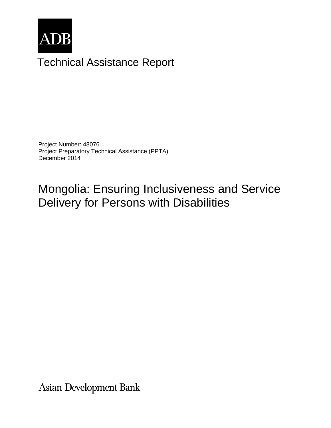

# Technical Assistance Report

Project Number: 48076 Project Preparatory Technical Assistance (PPTA) December 2014

Mongolia: Ensuring Inclusiveness and Service Delivery for Persons with Disabilities

**Asian Development Bank**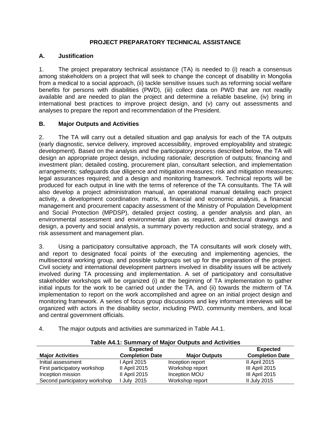## **PROJECT PREPARATORY TECHNICAL ASSISTANCE**

### **A. Justification**

1. The project preparatory technical assistance (TA) is needed to (i) reach a consensus among stakeholders on a project that will seek to change the concept of disability in Mongolia from a medical to a social approach, (ii) tackle sensitive issues such as reforming social welfare benefits for persons with disabilities (PWD), (iii) collect data on PWD that are not readily available and are needed to plan the project and determine a reliable baseline, (iv) bring in international best practices to improve project design, and (v) carry out assessments and analyses to prepare the report and recommendation of the President.

## **B. Major Outputs and Activities**

2. The TA will carry out a detailed situation and gap analysis for each of the TA outputs (early diagnostic, service delivery, improved accessibility, improved employability and strategic development). Based on the analysis and the participatory process described below, the TA will design an appropriate project design, including rationale; description of outputs; financing and investment plan; detailed costing, procurement plan, consultant selection, and implementation arrangements; safeguards due diligence and mitigation measures; risk and mitigation measures; legal assurances required; and a design and monitoring framework. Technical reports will be produced for each output in line with the terms of reference of the TA consultants. The TA will also develop a project administration manual, an operational manual detailing each project activity, a development coordination matrix, a financial and economic analysis, a financial management and procurement capacity assessment of the Ministry of Population Development and Social Protection (MPDSP), detailed project costing, a gender analysis and plan, an environmental assessment and environmental plan as required, architectural drawings and design, a poverty and social analysis, a summary poverty reduction and social strategy, and a risk assessment and management plan.

3. Using a participatory consultative approach, the TA consultants will work closely with, and report to designated focal points of the executing and implementing agencies, the multisectoral working group, and possible subgroups set up for the preparation of the project. Civil society and international development partners involved in disability issues will be actively involved during TA processing and implementation. A set of participatory and consultative stakeholder workshops will be organized (i) at the beginning of TA implementation to gather initial inputs for the work to be carried out under the TA, and (ii) towards the midterm of TA implementation to report on the work accomplished and agree on an initial project design and monitoring framework. A series of focus group discussions and key informant interviews will be organized with actors in the disability sector, including PWD, community members, and local and central government officials.

4. The major outputs and activities are summarized in Table A4.1.

| Table A4.1: Summary of Major Outputs and Activities |                        |                      |                        |
|-----------------------------------------------------|------------------------|----------------------|------------------------|
| <b>Expected</b>                                     |                        |                      | <b>Expected</b>        |
| <b>Major Activities</b>                             | <b>Completion Date</b> | <b>Major Outputs</b> | <b>Completion Date</b> |
| Initial assessment                                  | l April 2015           | Inception report     | II April 2015          |
| First participatory workshop                        | II April 2015          | Workshop report      | III April 2015         |
| Inception mission                                   | II April 2015          | Inception MOU        | III April 2015         |
| Second participatory workshop                       | July 2015              | Workshop report      | <b>II July 2015</b>    |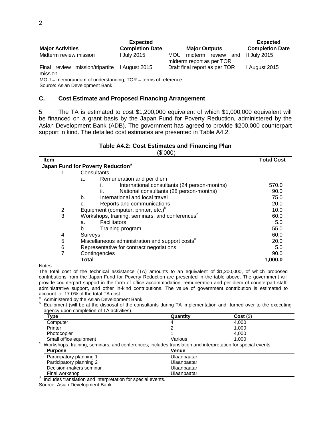| <b>Major Activities</b>                          | <b>Expected</b><br><b>Completion Date</b> | <b>Major Outputs</b>                                             | <b>Expected</b><br><b>Completion Date</b> |
|--------------------------------------------------|-------------------------------------------|------------------------------------------------------------------|-------------------------------------------|
| Midterm review mission                           | <b>I July 2015</b>                        | <b>MOU</b><br>midterm review<br>and<br>midterm report as per TOR | II July 2015                              |
| mission/tripartite<br>review<br>Final<br>mission | 1 August 2015                             | Draft final report as per TOR                                    | I August 2015                             |

MOU = memorandum of understanding, TOR = terms of reference. Source: Asian Development Bank.

#### **C. Cost Estimate and Proposed Financing Arrangement**

5. The TA is estimated to cost \$1,200,000 equivalent of which \$1,000,000 equivalent will be financed on a grant basis by the Japan Fund for Poverty Reduction, administered by the Asian Development Bank (ADB). The government has agreed to provide \$200,000 counterpart support in kind. The detailed cost estimates are presented in Table A4.2.

#### **Table A4.2: Cost Estimates and Financing Plan** (\$'000)

| <b>Item</b> |                                                             | <b>Total Cost</b> |
|-------------|-------------------------------------------------------------|-------------------|
|             | Japan Fund for Poverty Reduction <sup>a</sup>               |                   |
| 1.          | Consultants                                                 |                   |
|             | Remuneration and per diem<br>a.                             |                   |
|             | International consultants (24 person-months)                | 570.0             |
|             | National consultants (28 person-months)<br>Îİ.              | 90.0              |
|             | International and local travel<br>b.                        | 75.0              |
|             | Reports and communications<br>c.                            | 20.0              |
| 2.          | Equipment (computer, printer, etc.) <sup>b</sup>            | 10.0              |
| 3.          | Workshops, training, seminars, and conferences <sup>c</sup> | 60.0              |
|             | <b>Facilitators</b><br>a.                                   | 5.0               |
|             | b.<br>Training program                                      | 55.0              |
| 4.          | Surveys                                                     | 60.0              |
| 5.          | Miscellaneous administration and support costs <sup>°</sup> | 20.0              |
| 6.          | Representative for contract negotiations                    | 5.0               |
| 7.          | Contingencies                                               | 90.0              |
|             | Total                                                       | 1,000.0           |

Notes:

The total cost of the technical assistance (TA) amounts to an equivalent of \$1,200,000, of which proposed contributions from the Japan Fund for Poverty Reduction are presented in the table above. The government will provide counterpart support in the form of office accommodation, remuneration and per diem of counterpart staff, administrative support, and other in-kind contributions. The value of government contribution is estimated to account for 17.0% of the total TA cost.

Administered by the Asian Development Bank.

<sup>b</sup> Equipment (will be at the disposal of the consultants during TA implementation and turned over to the executing agency upon completion of TA activities).

| Type                                                                                                        | Quantity    | $Cost($ \$) |  |
|-------------------------------------------------------------------------------------------------------------|-------------|-------------|--|
| Computer                                                                                                    | 4           | 4.000       |  |
| Printer                                                                                                     |             | 1.000       |  |
| Photocopier                                                                                                 |             | 4.000       |  |
| Small office equipment                                                                                      | Various     | 1.000       |  |
| Workshops, training, seminars, and conferences; includes translation and interpretation for special events. |             |             |  |
| <b>Purpose</b>                                                                                              | Venue       |             |  |
| Participatory planning 1                                                                                    | Ulaanbaatar |             |  |
| Participatory planning 2                                                                                    | Ulaanbaatar |             |  |
| Decision-makers seminar                                                                                     | Ulaanbaatar |             |  |
| Final workshop                                                                                              | Ulaanbaatar |             |  |

d Includes translation and interpretation for special events.

Source: Asian Development Bank.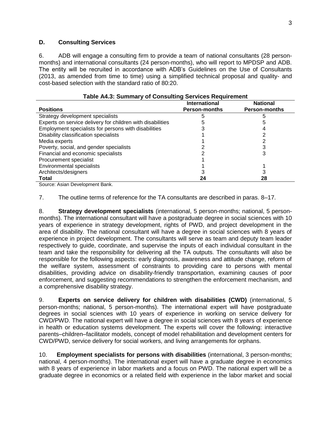#### **D. Consulting Services**

6. ADB will engage a consulting firm to provide a team of national consultants (28 personmonths) and international consultants (24 person-months), who will report to MPDSP and ADB. The entity will be recruited in accordance with ADB's Guidelines on the Use of Consultants (2013, as amended from time to time) using a simplified technical proposal and quality- and cost-based selection with the standard ratio of 80:20.

|                                                            | International        | <b>National</b>      |
|------------------------------------------------------------|----------------------|----------------------|
| <b>Positions</b>                                           | <b>Person-months</b> | <b>Person-months</b> |
| Strategy development specialists                           |                      |                      |
| Experts on service delivery for children with disabilities |                      |                      |
| Employment specialists for persons with disabilities       |                      |                      |
| Disability classification specialists                      |                      |                      |
| Media experts                                              |                      |                      |
| Poverty, social, and gender specialists                    |                      |                      |
| Financial and economic specialists                         |                      |                      |
| Procurement specialist                                     |                      |                      |
| <b>Environmental specialists</b>                           |                      |                      |
| Architects/designers                                       |                      |                      |
| Total<br>. .<br>$\sim$ $\sim$ $\sim$<br>$\sim$ $\sim$      | 24                   | 28                   |

Source: Asian Development Bank.

7. The outline terms of reference for the TA consultants are described in paras. 8–17.

8. **Strategy development specialists** (international, 5 person-months; national, 5 personmonths). The international consultant will have a postgraduate degree in social sciences with 10 years of experience in strategy development, rights of PWD, and project development in the area of disability. The national consultant will have a degree in social sciences with 8 years of experience in project development. The consultants will serve as team and deputy team leader respectively to guide, coordinate, and supervise the inputs of each individual consultant in the team and take the responsibility for delivering all the TA outputs. The consultants will also be responsible for the following aspects: early diagnosis, awareness and attitude change, reform of the welfare system, assessment of constraints to providing care to persons with mental disabilities, providing advice on disability-friendly transportation, examining causes of poor enforcement, and suggesting recommendations to strengthen the enforcement mechanism, and a comprehensive disability strategy.

9. **Experts on service delivery for children with disabilities (CWD)** (international, 5 person-months; national, 5 person-months). The international expert will have postgraduate degrees in social sciences with 10 years of experience in working on service delivery for CWD/PWD. The national expert will have a degree in social sciences with 8 years of experience in health or education systems development. The experts will cover the following: interactive parents–children–facilitator models, concept of model rehabilitation and development centers for CWD/PWD, service delivery for social workers, and living arrangements for orphans.

national, 4 person-months). The international expert will have a graduate degree in economics mational, I person monthly. The international expert will have a graduate degree in coorienties<br>with 8 years of experience in labor markets and a focus on PWD. The national expert will be a 10. **Employment specialists for persons with disabilities** (international, 3 person-months; graduate degree in economics or a related field with experience in the labor market and social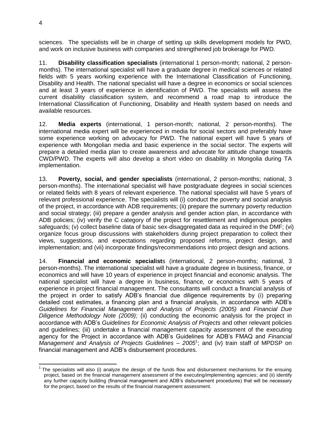sciences. The specialists will be in charge of setting up skills development models for PWD, and work on inclusive business with companies and strengthened job brokerage for PWD.

11. **Disability classification specialists** (international 1 person-month; national, 2 personmonths). The international specialist will have a graduate degree in medical sciences or related fields with 5 years working experience with the International Classification of Functioning, Disability and Health. The national specialist will have a degree in economics or social sciences and at least 3 years of experience in identification of PWD. The specialists will assess the current disability classification system, and recommend a road map to introduce the International Classification of Functioning, Disability and Health system based on needs and available resources.

12. **Media experts** (international, 1 person-month; national, 2 person-months). The international media expert will be experienced in media for social sectors and preferably have some experience working on advocacy for PWD. The national expert will have 5 years of experience with Mongolian media and basic experience in the social sector. The experts will prepare a detailed media plan to create awareness and advocate for attitude change towards CWD/PWD. The experts will also develop a short video on disability in Mongolia during TA implementation.

13. **Poverty, social, and gender specialists** (international, 2 person-months; national, 3 person-months). The international specialist will have postgraduate degrees in social sciences or related fields with 8 years of relevant experience. The national specialist will have 5 years of relevant professional experience. The specialists will (i) conduct the poverty and social analysis of the project, in accordance with ADB requirements; (ii) prepare the summary poverty reduction and social strategy; (iii) prepare a gender analysis and gender action plan, in accordance with ADB policies; (iv) verify the C category of the project for resettlement and indigenous peoples safeguards; (v) collect baseline data of basic sex-disaggregated data as required in the DMF; (vi) organize focus group discussions with stakeholders during project preparation to collect their views, suggestions, and expectations regarding proposed reforms, project design, and implementation; and (vii) incorporate findings/recommendations into project design and actions.

14. **Financial and economic specialist**s (international, 2 person-months; national, 3 person-months). The international specialist will have a graduate degree in business, finance, or economics and will have 10 years of experience in project financial and economic analysis. The national specialist will have a degree in business, finance, or economics with 5 years of experience in project financial management. The consultants will conduct a financial analysis of the project in order to satisfy ADB's financial due diligence requirements by (i) preparing detailed cost estimates, a financing plan and a financial analysis, in accordance with ADB's *Guidelines for Financial Management and Analysis of Projects (2005)* and *Financial Due Diligence Methodology Note (2009);* (ii) conducting the economic analysis for the project in accordance with ADB's *Guidelines for Economic Analysis of Projects* and other relevant policies and guidelines; (iii) undertake a financial management capacity assessment of the executing agency for the Project in accordance with ADB's Guidelines for ADB's FMAQ and *Financial*  Management and Analysis of Projects Guidelines - 2005<sup>1</sup>; and (iv) train staff of MPDSP on financial management and ADB's disbursement procedures.

The specialists will also (i) analyze the design of the funds flow and disbursement mechanisms for the ensuing<br>The specialists will also (i) analyze the design of the funds flow and disbursement mechanisms for the ensuing project, based on the financial management assessment of the executing/implementing agencies; and (ii) identify any further capacity building (financial management and ADB's disbursement procedures) that will be necessary for the project, based on the results of the financial management assessment.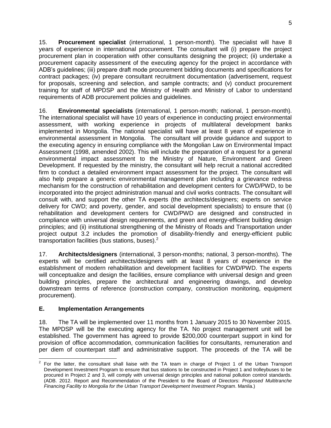15. **Procurement specialist** (international, 1 person-month). The specialist will have 8 years of experience in international procurement. The consultant will (i) prepare the project procurement plan in cooperation with other consultants designing the project; (ii) undertake a procurement capacity assessment of the executing agency for the project in accordance with ADB's guidelines; (iii) prepare draft mode procurement bidding documents and specifications for contract packages; (iv) prepare consultant recruitment documentation (advertisement, request for proposals, screening and selection, and sample contracts; and (v) conduct procurement training for staff of MPDSP and the Ministry of Health and Ministry of Labor to understand requirements of ADB procurement policies and guidelines.

16. **Environmental specialists** (international, 1 person-month; national, 1 person-month). The international specialist will have 10 years of experience in conducting project environmental assessment, with working experience in projects of multilateral development banks implemented in Mongolia. The national specialist will have at least 8 years of experience in environmental assessment in Mongolia. The consultant will provide guidance and support to the executing agency in ensuring compliance with the Mongolian Law on Environmental Impact Assessment (1998, amended 2002). This will include the preparation of a request for a general environmental impact assessment to the Ministry of Nature, Environment and Green Development. If requested by the ministry, the consultant will help recruit a national accredited firm to conduct a detailed environment impact assessment for the project. The consultant will also help prepare a generic environmental management plan including a grievance redress mechanism for the construction of rehabilitation and development centers for CWD/PWD, to be incorporated into the project administration manual and civil works contracts. The consultant will consult with, and support the other TA experts (the architects/designers; experts on service delivery for CWD; and poverty, gender, and social development specialists) to ensure that (i) rehabilitation and development centers for CWD/PWD are designed and constructed in compliance with universal design requirements, and green and energy-efficient building design principles; and (ii) institutional strengthening of the Ministry of Roads and Transportation under project output 3.2 includes the promotion of disability-friendly and energy-efficient public transportation facilities (bus stations, buses). $<sup>2</sup>$ </sup>

17. **Architects/designers** (international, 3 person-months; national, 3 person-months). The experts will be certified architects/designers with at least 8 years of experience in the establishment of modern rehabilitation and development facilities for CWD/PWD. The experts will conceptualize and design the facilities, ensure compliance with universal design and green building principles, prepare the architectural and engineering drawings, and develop downstream terms of reference (construction company, construction monitoring, equipment procurement).

# **E. Implementation Arrangements**

18. The TA will be implemented over 11 months from 1 January 2015 to 30 November 2015. The MPDSP will be the executing agency for the TA. No project management unit will be established. The government has agreed to provide \$200,000 counterpart support in kind for provision of office accommodation, communication facilities for consultants, remuneration and per diem of counterpart staff and administrative support. The proceeds of the TA will be

The views expressed herein are those of the consultant and do not necessarily represent those of  $\mathcal{A}$ For the latter, the consultant shall liaise with the TA team in charge of Project 1 of the Enties and the latter, the consultant shall liaise with the TA team in charge of Project 1 of the Urban Transport Development Investment Program to ensure that bus stations to be constructed in Project 1 and trolleybuses to be procured in Project 2 and 3, will comply with universal design principles and national pollution control standards. (ADB. 2012. Report and Recommendation of the President to the Board of Directors: *Proposed Multitranche Financing Facility to Mongolia for the Urban Transport Development Investment Program*. Manila.)